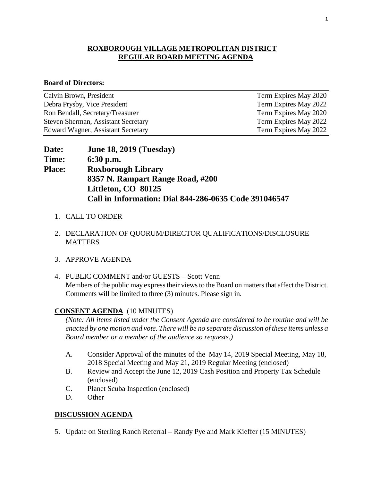#### **ROXBOROUGH VILLAGE METROPOLITAN DISTRICT REGULAR BOARD MEETING AGENDA**

#### **Board of Directors:**

| Calvin Brown, President             | Term Expires May 2020 |
|-------------------------------------|-----------------------|
| Debra Prysby, Vice President        | Term Expires May 2022 |
| Ron Bendall, Secretary/Treasurer    | Term Expires May 2020 |
| Steven Sherman, Assistant Secretary | Term Expires May 2022 |
| Edward Wagner, Assistant Secretary  | Term Expires May 2022 |

| <b>Date:</b>  | <b>June 18, 2019 (Tuesday)</b>                        |
|---------------|-------------------------------------------------------|
| <b>Time:</b>  | $6:30$ p.m.                                           |
| <b>Place:</b> | <b>Roxborough Library</b>                             |
|               | 8357 N. Rampart Range Road, #200                      |
|               | Littleton, CO 80125                                   |
|               | Call in Information: Dial 844-286-0635 Code 391046547 |

- 1. CALL TO ORDER
- 2. DECLARATION OF QUORUM/DIRECTOR QUALIFICATIONS/DISCLOSURE **MATTERS**
- 3. APPROVE AGENDA
- 4. PUBLIC COMMENT and/or GUESTS Scott Venn Members of the public may express their views to the Board on matters that affect the District. Comments will be limited to three (3) minutes. Please sign in.

#### **CONSENT AGENDA** (10 MINUTES)

*(Note: All items listed under the Consent Agenda are considered to be routine and will be enacted by one motion and vote. There will be no separate discussion of these items unless a Board member or a member of the audience so requests.)* 

- A. Consider Approval of the minutes of the May 14, 2019 Special Meeting, May 18, 2018 Special Meeting and May 21, 2019 Regular Meeting (enclosed)
- B. Review and Accept the June 12, 2019 Cash Position and Property Tax Schedule (enclosed)
- C. Planet Scuba Inspection (enclosed)
- D. Other

#### **DISCUSSION AGENDA**

5. Update on Sterling Ranch Referral – Randy Pye and Mark Kieffer (15 MINUTES)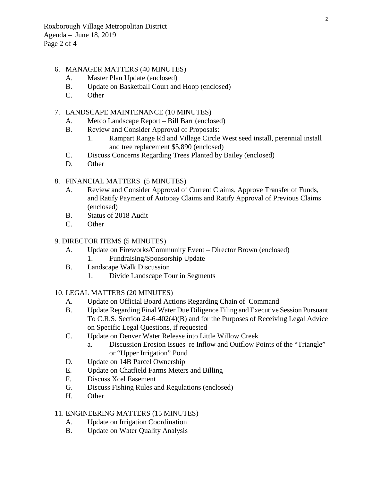Roxborough Village Metropolitan District Agenda – June 18, 2019 Page 2 of 4

#### 6. MANAGER MATTERS (40 MINUTES)

- A. Master Plan Update (enclosed)
- B. Update on Basketball Court and Hoop (enclosed)
- C. Other

#### 7. LANDSCAPE MAINTENANCE (10 MINUTES)

- A. Metco Landscape Report Bill Barr (enclosed)
- B. Review and Consider Approval of Proposals:
	- 1. Rampart Range Rd and Village Circle West seed install, perennial install and tree replacement \$5,890 (enclosed)
- C. Discuss Concerns Regarding Trees Planted by Bailey (enclosed)
- D. Other

#### 8. FINANCIAL MATTERS (5 MINUTES)

- A. Review and Consider Approval of Current Claims, Approve Transfer of Funds, and Ratify Payment of Autopay Claims and Ratify Approval of Previous Claims (enclosed)
- B. Status of 2018 Audit
- C. Other

#### 9. DIRECTOR ITEMS (5 MINUTES)

- A. Update on Fireworks/Community Event Director Brown (enclosed) 1. Fundraising/Sponsorship Update
- B. Landscape Walk Discussion
	- 1. Divide Landscape Tour in Segments

#### 10. LEGAL MATTERS (20 MINUTES)

- A. Update on Official Board Actions Regarding Chain of Command
- B. Update Regarding Final Water Due Diligence Filing and Executive Session Pursuant To C.R.S. Section 24-6-402(4)(B) and for the Purposes of Receiving Legal Advice on Specific Legal Questions, if requested
- C. Update on Denver Water Release into Little Willow Creek
	- a. Discussion Erosion Issues re Inflow and Outflow Points of the "Triangle" or "Upper Irrigation" Pond
- D. Update on 14B Parcel Ownership
- E. Update on Chatfield Farms Meters and Billing
- F. Discuss Xcel Easement
- G. Discuss Fishing Rules and Regulations (enclosed)
- H. Other

#### 11. ENGINEERING MATTERS (15 MINUTES)

- A. Update on Irrigation Coordination
- B. Update on Water Quality Analysis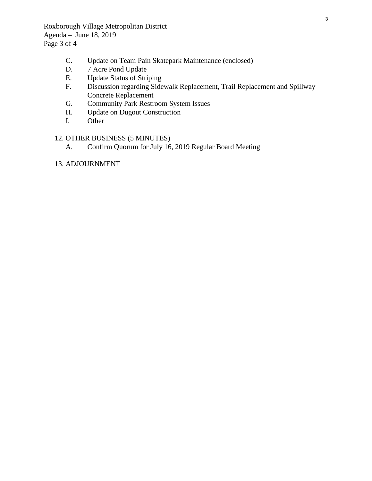Roxborough Village Metropolitan District Agenda – June 18, 2019 Page 3 of 4

- C. Update on Team Pain Skatepark Maintenance (enclosed)<br>D. 7 Acre Pond Update
- D. 7 Acre Pond Update<br>E. Update Status of Stri
- E. Update Status of Striping<br>F. Discussion regarding Side
- Discussion regarding Sidewalk Replacement, Trail Replacement and Spillway Concrete Replacement
- G. Community Park Restroom System Issues<br>H. Update on Dugout Construction
- Update on Dugout Construction
- I. Other

### 12. OTHER BUSINESS (5 MINUTES)

A. Confirm Quorum for July 16, 2019 Regular Board Meeting

13. ADJOURNMENT